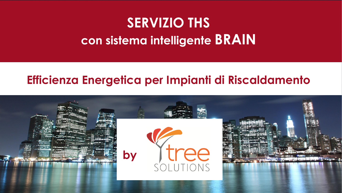# **SERVIZIO THS con sistema intelligente BRAIN**

### **Efficienza Energetica per Impianti di Riscaldamento**

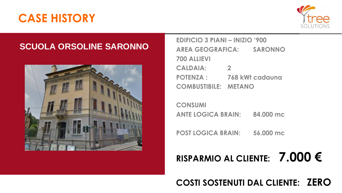

#### **SCUOLA ORSOLINE SARONNO**



| <b>EDIFICIO 3 PIANI – INIZIO '900</b> |                        |
|---------------------------------------|------------------------|
| <b>AREA GEOGRAFICA:</b>               | <b>SARONNO</b>         |
| <b>700 ALLIEVI</b>                    |                        |
| <b>CALDAIA:</b>                       | $\mathbf{P}$           |
| <b>POTENZA:</b>                       | <b>768 kWt cadauna</b> |
| <b>COMBUSTIBILE: METANO</b>           |                        |

**CONSUMI** ANTE LOGICA BRAIN: 84.000 mc

POST LOGICA BRAIN: 56.000 mc

## RISPARMIO AL CLIENTE:  $7.000 \in$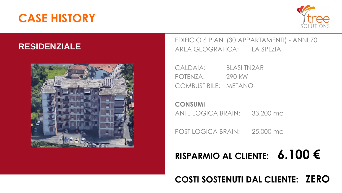

#### **RESIDENZIALE**



EDIFICIO 6 PIANI (30 APPARTAMENTI) - ANNI 70 AREA GEOGRAFICA: LA SPEZIA

CALDAIA: BLASI TN2AR POTENZA: 290 kW COMBUSTIBILE: METANO

**CONSUMI**  ANTE LOGICA BRAIN: 33.200 mc

POST LOGICA BRAIN: 25.000 mc

## **RISPARMIO AL CLIENTE: 6.100 €**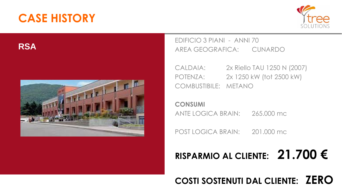

**RSA**



EDIFICIO 3 PIANI - ANNI 70 AREA GEOGRAFICA: CUNARDO

CALDAIA: 2x Riello TAU 1250 N (2007) POTENZA: 2x 1250 kW (tot 2500 kW) COMBUSTIBILE: METANO

**CONSUMI**  ANTE LOGICA BRAIN: 265.000 mc

POST LOGICA BRAIN: 201.000 mc

## **RISPARMIO AL CLIENTE: 21.700 €**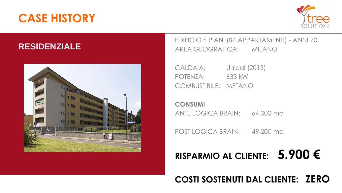

#### **RESIDENZIALE**



EDIFICIO 6 PIANI (84 APPARTAMENTI) - ANNI 70 AREA GEOGRAFICA: MILANO

CALDAIA: Unical (2013) POTENZA: 633 kW COMBUSTIBILE: METANO

**CONSUMI**  ANTE LOGICA BRAIN: 64.000 mc

POST LOGICA BRAIN: 49.200 mc

## **RISPARMIO AL CLIENTE: 5.900 €**